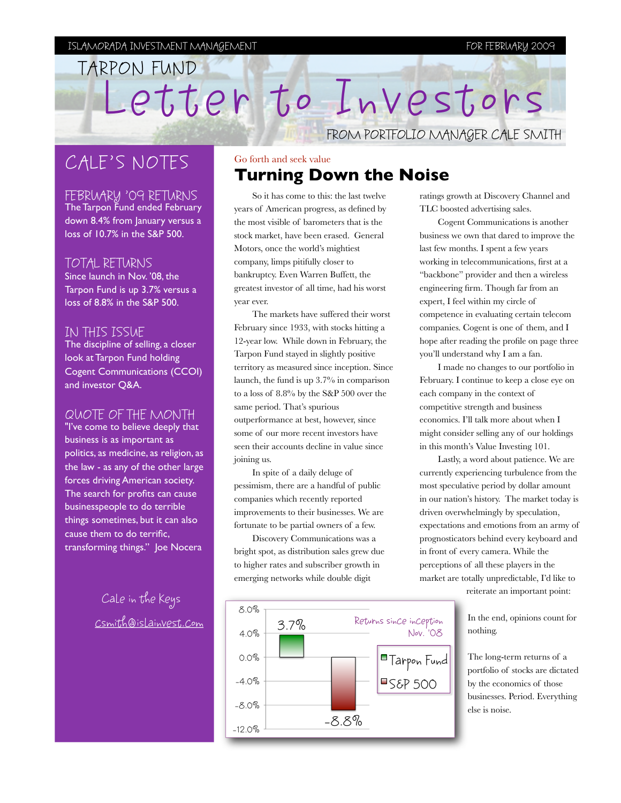#### ISLAMORADA INVESTMENT MANAGEMENT FOR FEBRUARY 2009

# Letter to Investors FROM PORTFOLIO MANAGER CALE SMITH TARPON FUND

## CALE'S NOTES

FEBRUARY '09 RETURNS

The Tarpon Fund ended February down 8.4% from January versus a loss of 10.7% in the S&P 500.

#### TOTAL RETURNS

Since launch in Nov. '08, the Tarpon Fund is up 3.7% versus a loss of 8.8% in the S&P 500.

#### IN THIS ISSUE

The discipline of selling, a closer look at Tarpon Fund holding Cogent Communications (CCOI) and investor Q&A.

#### QUOTE OF THE MONTH

"I've come to believe deeply that business is as important as politics, as medicine, as religion, as the law - as any of the other large forces driving American society. The search for profits can cause businesspeople to do terrible things sometimes, but it can also cause them to do terrific, transforming things." Joe Nocera

> Cale in the Keys [csmith@islainvest.com](mailto:csmith@islainvest.com)

### Go forth and seek value **Turning Down the Noise**

So it has come to this: the last twelve years of American progress, as defined by the most visible of barometers that is the stock market, have been erased. General Motors, once the world's mightiest company, limps pitifully closer to bankruptcy. Even Warren Buffett, the greatest investor of all time, had his worst year ever.

The markets have suffered their worst February since 1933, with stocks hitting a 12-year low. While down in February, the Tarpon Fund stayed in slightly positive territory as measured since inception. Since launch, the fund is up 3.7% in comparison to a loss of 8.8% by the S&P 500 over the same period. That's spurious outperformance at best, however, since some of our more recent investors have seen their accounts decline in value since joining us.

In spite of a daily deluge of pessimism, there are a handful of public companies which recently reported improvements to their businesses. We are fortunate to be partial owners of a few.

Discovery Communications was a bright spot, as distribution sales grew due to higher rates and subscriber growth in emerging networks while double digit



ratings growth at Discovery Channel and TLC boosted advertising sales.

Cogent Communications is another business we own that dared to improve the last few months. I spent a few years working in telecommunications, first at a "backbone" provider and then a wireless engineering firm. Though far from an expert, I feel within my circle of competence in evaluating certain telecom companies. Cogent is one of them, and I hope after reading the profile on page three you'll understand why I am a fan.

I made no changes to our portfolio in February. I continue to keep a close eye on each company in the context of competitive strength and business economics. I'll talk more about when I might consider selling any of our holdings in this month's Value Investing 101.

Lastly, a word about patience. We are currently experiencing turbulence from the most speculative period by dollar amount in our nation's history. The market today is driven overwhelmingly by speculation, expectations and emotions from an army of prognosticators behind every keyboard and in front of every camera. While the perceptions of all these players in the market are totally unpredictable, I'd like to

reiterate an important point:

In the end, opinions count for nothing.

The long-term returns of a portfolio of stocks are dictated by the economics of those businesses. Period. Everything else is noise.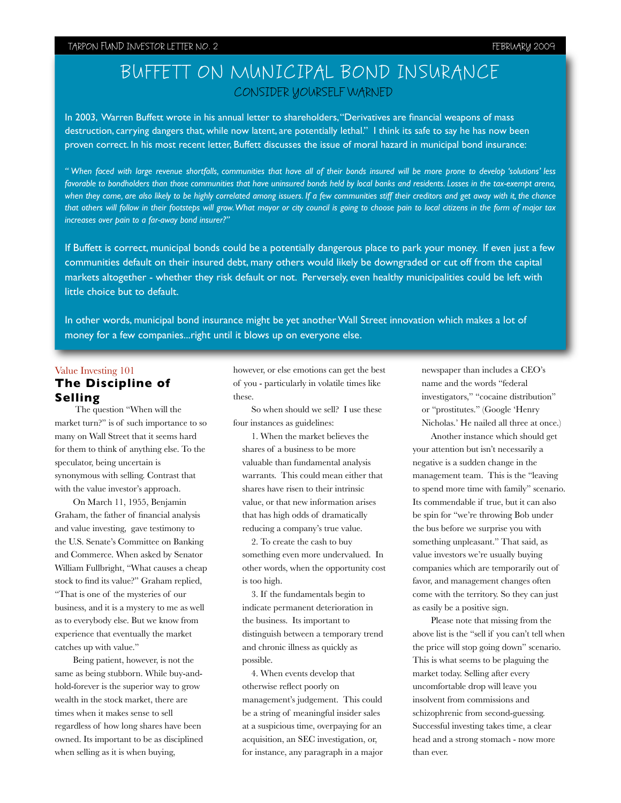#### TARPON FUND INVESTOR LETTER NO. 2 TABLES ISSUE NOT THE SERVER OF THE SERVERY 2009

### BUFFETT ON MUNICIPAL BOND INSURANCE CONSIDER YOURSELF WARNED

In 2003, Warren Buffett wrote in his annual letter to shareholders, "Derivatives are financial weapons of mass destruction, carrying dangers that, while now latent, are potentially lethal." I think its safe to say he has now been proven correct. In his most recent letter, Buffett discusses the issue of moral hazard in municipal bond insurance:

*" When faced with large revenue shortfalls, communities that have all of their bonds insured will be more prone to develop 'solutions' less favorable to bondholders than those communities that have uninsured bonds held by local banks and residents. Losses in the tax-exempt arena,*  when they come, are also likely to be highly correlated among issuers. If a few communities stiff their creditors and get away with it, the chance *that others will follow in their footsteps will grow. What mayor or city council is going to choose pain to local citizens in the form of major tax increases over pain to a far-away bond insurer?"* 

If Buffett is correct, municipal bonds could be a potentially dangerous place to park your money. If even just a few communities default on their insured debt, many others would likely be downgraded or cut off from the capital markets altogether - whether they risk default or not. Perversely, even healthy municipalities could be left with little choice but to default.

In other words, municipal bond insurance might be yet another Wall Street innovation which makes a lot of money for a few companies...right until it blows up on everyone else.

#### Value Investing 101 **The Discipline of Selling**

 The question "When will the market turn?" is of such importance to so many on Wall Street that it seems hard for them to think of anything else. To the speculator, being uncertain is synonymous with selling. Contrast that with the value investor's approach.

On March 11, 1955, Benjamin Graham, the father of financial analysis and value investing, gave testimony to the U.S. Senate's Committee on Banking and Commerce. When asked by Senator William Fullbright, "What causes a cheap stock to find its value?" Graham replied, "That is one of the mysteries of our business, and it is a mystery to me as well as to everybody else. But we know from experience that eventually the market catches up with value."

Being patient, however, is not the same as being stubborn. While buy-andhold-forever is the superior way to grow wealth in the stock market, there are times when it makes sense to sell regardless of how long shares have been owned. Its important to be as disciplined when selling as it is when buying,

however, or else emotions can get the best of you - particularly in volatile times like these.

So when should we sell? I use these four instances as guidelines:

1. When the market believes the shares of a business to be more valuable than fundamental analysis warrants. This could mean either that shares have risen to their intrinsic value, or that new information arises that has high odds of dramatically reducing a company's true value.

2. To create the cash to buy something even more undervalued. In other words, when the opportunity cost is too high.

3. If the fundamentals begin to indicate permanent deterioration in the business. Its important to distinguish between a temporary trend and chronic illness as quickly as possible.

4. When events develop that otherwise reflect poorly on management's judgement. This could be a string of meaningful insider sales at a suspicious time, overpaying for an acquisition, an SEC investigation, or, for instance, any paragraph in a major newspaper than includes a CEO's name and the words "federal investigators," "cocaine distribution" or "prostitutes." (Google 'Henry Nicholas.' He nailed all three at once.)

Another instance which should get your attention but isn't necessarily a negative is a sudden change in the management team. This is the "leaving to spend more time with family" scenario. Its commendable if true, but it can also be spin for "we're throwing Bob under the bus before we surprise you with something unpleasant." That said, as value investors we're usually buying companies which are temporarily out of favor, and management changes often come with the territory. So they can just as easily be a positive sign.

Please note that missing from the above list is the "sell if you can't tell when the price will stop going down" scenario. This is what seems to be plaguing the market today. Selling after every uncomfortable drop will leave you insolvent from commissions and schizophrenic from second-guessing. Successful investing takes time, a clear head and a strong stomach - now more than ever.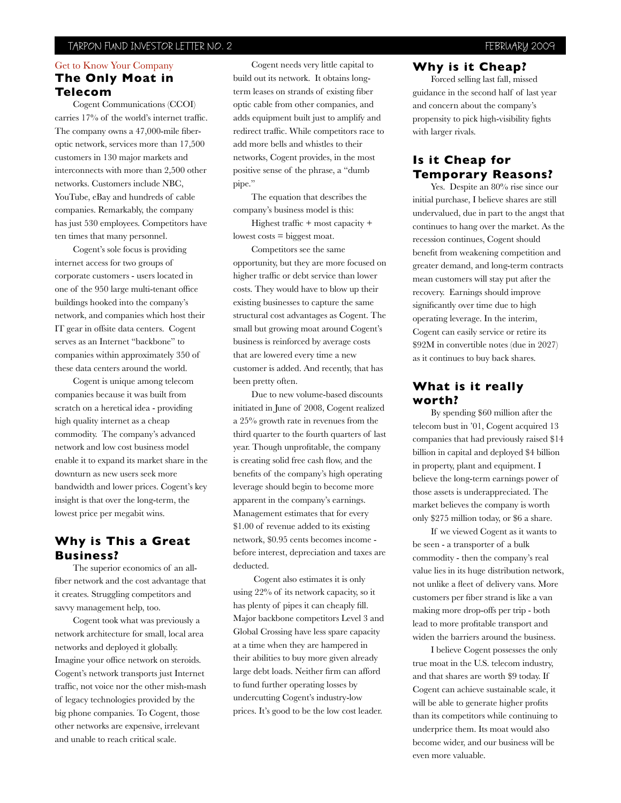#### TARPON FUND INVESTOR LETTER NO. 2 TABLES IN TARPON FUND INVESTOR LETTER NO. 2

#### Get to Know Your Company **The Only Moat in Telecom**

Cogent Communications (CCOI) carries 17% of the world's internet traffic. The company owns a 47,000-mile fiberoptic network, services more than 17,500 customers in 130 major markets and interconnects with more than 2,500 other networks. Customers include NBC, YouTube, eBay and hundreds of cable companies. Remarkably, the company has just 530 employees. Competitors have ten times that many personnel.

Cogent's sole focus is providing internet access for two groups of corporate customers - users located in one of the 950 large multi-tenant office buildings hooked into the company's network, and companies which host their IT gear in offsite data centers. Cogent serves as an Internet "backbone" to companies within approximately 350 of these data centers around the world.

Cogent is unique among telecom companies because it was built from scratch on a heretical idea - providing high quality internet as a cheap commodity. The company's advanced network and low cost business model enable it to expand its market share in the downturn as new users seek more bandwidth and lower prices. Cogent's key insight is that over the long-term, the lowest price per megabit wins.

#### **Why is This a Great Business?**

The superior economics of an allfiber network and the cost advantage that it creates. Struggling competitors and savvy management help, too.

Cogent took what was previously a network architecture for small, local area networks and deployed it globally. Imagine your office network on steroids. Cogent's network transports just Internet traffic, not voice nor the other mish-mash of legacy technologies provided by the big phone companies. To Cogent, those other networks are expensive, irrelevant and unable to reach critical scale.

Cogent needs very little capital to build out its network. It obtains longterm leases on strands of existing fiber optic cable from other companies, and adds equipment built just to amplify and redirect traffic. While competitors race to add more bells and whistles to their networks, Cogent provides, in the most positive sense of the phrase, a "dumb pipe."

The equation that describes the company's business model is this:

Highest traffic + most capacity + lowest costs = biggest moat.

Competitors see the same opportunity, but they are more focused on higher traffic or debt service than lower costs. They would have to blow up their existing businesses to capture the same structural cost advantages as Cogent. The small but growing moat around Cogent's business is reinforced by average costs that are lowered every time a new customer is added. And recently, that has been pretty often.

Due to new volume-based discounts initiated in June of 2008, Cogent realized a 25% growth rate in revenues from the third quarter to the fourth quarters of last year. Though unprofitable, the company is creating solid free cash flow, and the benefits of the company's high operating leverage should begin to become more apparent in the company's earnings. Management estimates that for every \$1.00 of revenue added to its existing network, \$0.95 cents becomes income before interest, depreciation and taxes are deducted.

 Cogent also estimates it is only using 22% of its network capacity, so it has plenty of pipes it can cheaply fill. Major backbone competitors Level 3 and Global Crossing have less spare capacity at a time when they are hampered in their abilities to buy more given already large debt loads. Neither firm can afford to fund further operating losses by undercutting Cogent's industry-low prices. It's good to be the low cost leader.

#### **Why is it Cheap?**

Forced selling last fall, missed guidance in the second half of last year and concern about the company's propensity to pick high-visibility fights with larger rivals.

#### **Is it Cheap for Temporary Reasons?**

Yes. Despite an 80% rise since our initial purchase, I believe shares are still undervalued, due in part to the angst that continues to hang over the market. As the recession continues, Cogent should benefit from weakening competition and greater demand, and long-term contracts mean customers will stay put after the recovery. Earnings should improve significantly over time due to high operating leverage. In the interim, Cogent can easily service or retire its \$92M in convertible notes (due in 2027) as it continues to buy back shares.

#### **What is it really worth?**

By spending \$60 million after the telecom bust in '01, Cogent acquired 13 companies that had previously raised \$14 billion in capital and deployed \$4 billion in property, plant and equipment. I believe the long-term earnings power of those assets is underappreciated. The market believes the company is worth only \$275 million today, or \$6 a share.

If we viewed Cogent as it wants to be seen - a transporter of a bulk commodity - then the company's real value lies in its huge distribution network, not unlike a fleet of delivery vans. More customers per fiber strand is like a van making more drop-offs per trip - both lead to more profitable transport and widen the barriers around the business.

I believe Cogent possesses the only true moat in the U.S. telecom industry, and that shares are worth \$9 today. If Cogent can achieve sustainable scale, it will be able to generate higher profits than its competitors while continuing to underprice them. Its moat would also become wider, and our business will be even more valuable.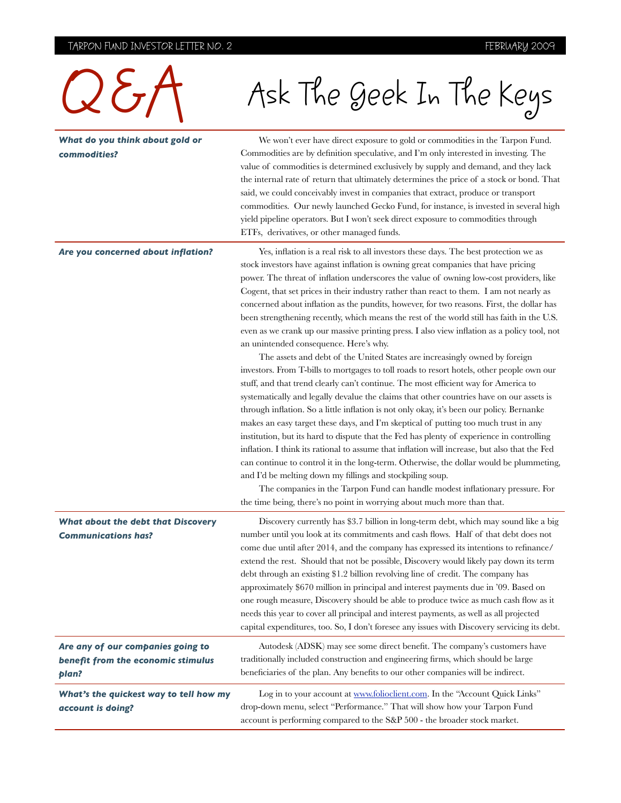### TARPON FUND INVESTOR LETTER NO. 2 TARPON FUND INVESTOR LETTER NO. 2

| $\sum \zeta_{\mathcal{I}}$                                                       | Ask The Geek In The Keys                                                                                                                                                                                                                                                                                                                                                                                                                                                                                                                                                                                                                                                                                                                                                                                                                                                                                                                                                                                                                                                                                                                                                                                                                                                                                                                                                                                                                                                                                                                                                                                                                                                                                                                                                 |
|----------------------------------------------------------------------------------|--------------------------------------------------------------------------------------------------------------------------------------------------------------------------------------------------------------------------------------------------------------------------------------------------------------------------------------------------------------------------------------------------------------------------------------------------------------------------------------------------------------------------------------------------------------------------------------------------------------------------------------------------------------------------------------------------------------------------------------------------------------------------------------------------------------------------------------------------------------------------------------------------------------------------------------------------------------------------------------------------------------------------------------------------------------------------------------------------------------------------------------------------------------------------------------------------------------------------------------------------------------------------------------------------------------------------------------------------------------------------------------------------------------------------------------------------------------------------------------------------------------------------------------------------------------------------------------------------------------------------------------------------------------------------------------------------------------------------------------------------------------------------|
| What do you think about gold or<br>commodities?                                  | We won't ever have direct exposure to gold or commodities in the Tarpon Fund.<br>Commodities are by definition speculative, and I'm only interested in investing. The<br>value of commodities is determined exclusively by supply and demand, and they lack<br>the internal rate of return that ultimately determines the price of a stock or bond. That<br>said, we could conceivably invest in companies that extract, produce or transport<br>commodities. Our newly launched Gecko Fund, for instance, is invested in several high<br>yield pipeline operators. But I won't seek direct exposure to commodities through<br>ETFs, derivatives, or other managed funds.                                                                                                                                                                                                                                                                                                                                                                                                                                                                                                                                                                                                                                                                                                                                                                                                                                                                                                                                                                                                                                                                                                |
| Are you concerned about inflation?                                               | Yes, inflation is a real risk to all investors these days. The best protection we as<br>stock investors have against inflation is owning great companies that have pricing<br>power. The threat of inflation underscores the value of owning low-cost providers, like<br>Cogent, that set prices in their industry rather than react to them. I am not nearly as<br>concerned about inflation as the pundits, however, for two reasons. First, the dollar has<br>been strengthening recently, which means the rest of the world still has faith in the U.S.<br>even as we crank up our massive printing press. I also view inflation as a policy tool, not<br>an unintended consequence. Here's why.<br>The assets and debt of the United States are increasingly owned by foreign<br>investors. From T bills to mortgages to toll roads to resort hotels, other people own our<br>stuff, and that trend clearly can't continue. The most efficient way for America to<br>systematically and legally devalue the claims that other countries have on our assets is<br>through inflation. So a little inflation is not only okay, it's been our policy. Bernanke<br>makes an easy target these days, and I'm skeptical of putting too much trust in any<br>institution, but its hard to dispute that the Fed has plenty of experience in controlling<br>inflation. I think its rational to assume that inflation will increase, but also that the Fed<br>can continue to control it in the long-term. Otherwise, the dollar would be plummeting,<br>and I'd be melting down my fillings and stockpiling soup.<br>The companies in the Tarpon Fund can handle modest inflationary pressure. For<br>the time being, there's no point in worrying about much more than that. |
| <b>What about the debt that Discovery</b><br><b>Communications has?</b>          | Discovery currently has \$3.7 billion in long-term debt, which may sound like a big<br>number until you look at its commitments and cash flows. Half of that debt does not<br>come due until after 2014, and the company has expressed its intentions to refinance/<br>extend the rest. Should that not be possible, Discovery would likely pay down its term<br>debt through an existing \$1.2 billion revolving line of credit. The company has<br>approximately \$670 million in principal and interest payments due in '09. Based on<br>one rough measure, Discovery should be able to produce twice as much cash flow as it<br>needs this year to cover all principal and interest payments, as well as all projected<br>capital expenditures, too. So, I don't foresee any issues with Discovery servicing its debt.                                                                                                                                                                                                                                                                                                                                                                                                                                                                                                                                                                                                                                                                                                                                                                                                                                                                                                                                               |
| Are any of our companies going to<br>benefit from the economic stimulus<br>plan? | Autodesk (ADSK) may see some direct benefit. The company's customers have<br>traditionally included construction and engineering firms, which should be large<br>beneficiaries of the plan. Any benefits to our other companies will be indirect.                                                                                                                                                                                                                                                                                                                                                                                                                                                                                                                                                                                                                                                                                                                                                                                                                                                                                                                                                                                                                                                                                                                                                                                                                                                                                                                                                                                                                                                                                                                        |
| What's the quickest way to tell how my<br>account is doing?                      | Log in to your account at www.folioclient.com. In the "Account Quick Links"<br>drop-down menu, select "Performance." That will show how your Tarpon Fund<br>account is performing compared to the S&P 500 - the broader stock market.                                                                                                                                                                                                                                                                                                                                                                                                                                                                                                                                                                                                                                                                                                                                                                                                                                                                                                                                                                                                                                                                                                                                                                                                                                                                                                                                                                                                                                                                                                                                    |